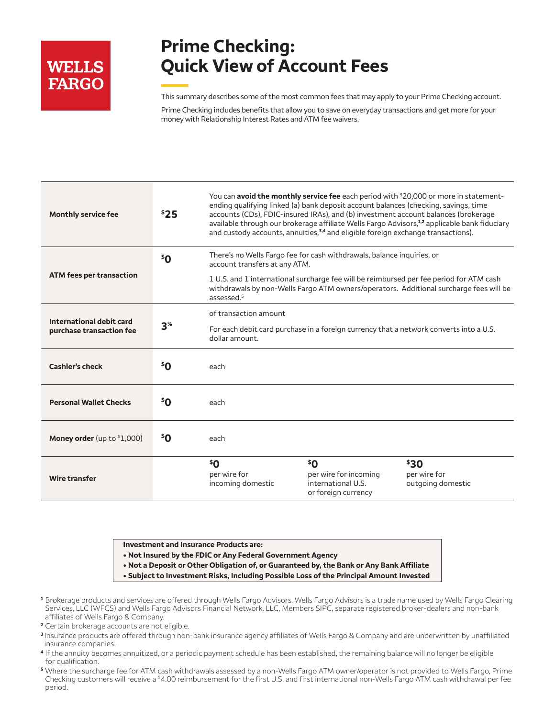# **WELLS FARGO**

## **Prime Checking: Quick View of Account Fees**

This summary describes some of the most common fees that may apply to your Prime Checking account.

Prime Checking includes benefits that allow you to save on everyday transactions and get more for your money with Relationship Interest Rates and ATM fee waivers.

| <b>Monthly service fee</b>                           | \$25            | You can <b>avoid the monthly service fee</b> each period with <sup>\$20,000</sup> or more in statement-<br>ending qualifying linked (a) bank deposit account balances (checking, savings, time<br>accounts (CDs), FDIC-insured IRAs), and (b) investment account balances (brokerage<br>available through our brokerage affiliate Wells Fargo Advisors, <sup>1,2</sup> applicable bank fiduciary<br>and custody accounts, annuities, <sup>3,4</sup> and eligible foreign exchange transactions). |                                                                           |                                           |
|------------------------------------------------------|-----------------|--------------------------------------------------------------------------------------------------------------------------------------------------------------------------------------------------------------------------------------------------------------------------------------------------------------------------------------------------------------------------------------------------------------------------------------------------------------------------------------------------|---------------------------------------------------------------------------|-------------------------------------------|
| <b>ATM fees per transaction</b>                      | \$0"            | There's no Wells Fargo fee for cash withdrawals, balance inquiries, or<br>account transfers at any ATM.<br>1 U.S. and 1 international surcharge fee will be reimbursed per fee period for ATM cash<br>withdrawals by non-Wells Fargo ATM owners/operators. Additional surcharge fees will be<br>assessed. <sup>5</sup>                                                                                                                                                                           |                                                                           |                                           |
| International debit card<br>purchase transaction fee | 3 <sup>%</sup>  | of transaction amount<br>For each debit card purchase in a foreign currency that a network converts into a U.S.<br>dollar amount.                                                                                                                                                                                                                                                                                                                                                                |                                                                           |                                           |
| <b>Cashier's check</b>                               | \$Ο             | each                                                                                                                                                                                                                                                                                                                                                                                                                                                                                             |                                                                           |                                           |
| <b>Personal Wallet Checks</b>                        | <sup>\$</sup> Ο | each                                                                                                                                                                                                                                                                                                                                                                                                                                                                                             |                                                                           |                                           |
| <b>Money order</b> (up to $1,000$ )                  | \$Ο             | each                                                                                                                                                                                                                                                                                                                                                                                                                                                                                             |                                                                           |                                           |
| Wire transfer                                        |                 | \$0<br>per wire for<br>incoming domestic                                                                                                                                                                                                                                                                                                                                                                                                                                                         | \$0<br>per wire for incoming<br>international U.S.<br>or foreign currency | \$30<br>per wire for<br>outgoing domestic |

**Investment and Insurance Products are:**

- **• Not Insured by the FDIC or Any Federal Government Agency**
- **• Not a Deposit or Other Obligation of, or Guaranteed by, the Bank or Any Bank Affiliate**
- **• Subject to Investment Risks, Including Possible Loss of the Principal Amount Invested**
- **1** Brokerage products and services are offered through Wells Fargo Advisors. Wells Fargo Advisors is a trade name used by Wells Fargo Clearing Services, LLC (WFCS) and Wells Fargo Advisors Financial Network, LLC, Members SIPC, separate registered broker-dealers and non-bank affiliates of Wells Fargo & Company.
- **<sup>2</sup>** Certain brokerage accounts are not eligible.
- **3** Insurance products are offered through non-bank insurance agency affiliates of Wells Fargo & Company and are underwritten by unaffiliated insurance companies.
- **4** If the annuity becomes annuitized, or a periodic payment schedule has been established, the remaining balance will no longer be eligible for qualification.
- **5** Where the surcharge fee for ATM cash withdrawals assessed by a non-Wells Fargo ATM owner/operator is not provided to Wells Fargo, Prime Checking customers will receive a \$4.00 reimbursement for the first U.S. and first international non-Wells Fargo ATM cash withdrawal per fee period.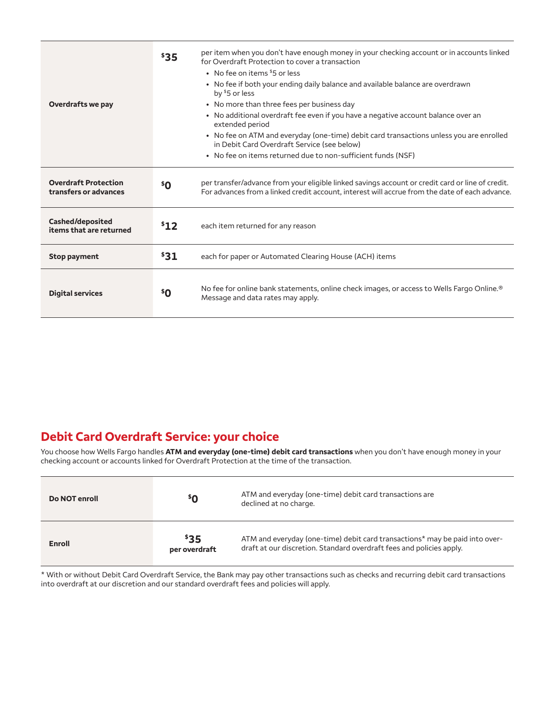| Overdrafts we pay                                    | \$35            | per item when you don't have enough money in your checking account or in accounts linked<br>for Overdraft Protection to cover a transaction<br>• No fee on items \$5 or less<br>• No fee if both your ending daily balance and available balance are overdrawn<br>by $$5$ or less<br>• No more than three fees per business day<br>• No additional overdraft fee even if you have a negative account balance over an<br>extended period<br>• No fee on ATM and everyday (one-time) debit card transactions unless you are enrolled<br>in Debit Card Overdraft Service (see below)<br>• No fee on items returned due to non-sufficient funds (NSF) |
|------------------------------------------------------|-----------------|---------------------------------------------------------------------------------------------------------------------------------------------------------------------------------------------------------------------------------------------------------------------------------------------------------------------------------------------------------------------------------------------------------------------------------------------------------------------------------------------------------------------------------------------------------------------------------------------------------------------------------------------------|
| <b>Overdraft Protection</b><br>transfers or advances | \$ <sub>0</sub> | per transfer/advance from your eligible linked savings account or credit card or line of credit.<br>For advances from a linked credit account, interest will accrue from the date of each advance.                                                                                                                                                                                                                                                                                                                                                                                                                                                |
| Cashed/deposited<br>items that are returned          | \$12            | each item returned for any reason                                                                                                                                                                                                                                                                                                                                                                                                                                                                                                                                                                                                                 |
| <b>Stop payment</b>                                  | \$31            | each for paper or Automated Clearing House (ACH) items                                                                                                                                                                                                                                                                                                                                                                                                                                                                                                                                                                                            |
| <b>Digital services</b>                              | \$Ο             | No fee for online bank statements, online check images, or access to Wells Fargo Online.®<br>Message and data rates may apply.                                                                                                                                                                                                                                                                                                                                                                                                                                                                                                                    |

#### **Debit Card Overdraft Service: your choice**

You choose how Wells Fargo handles **ATM and everyday (one-time) debit card transactions** when you don't have enough money in your checking account or accounts linked for Overdraft Protection at the time of the transaction.

| Do NOT enroll | \$O                   | ATM and everyday (one-time) debit card transactions are<br>declined at no charge.                                                                   |
|---------------|-----------------------|-----------------------------------------------------------------------------------------------------------------------------------------------------|
| <b>Enroll</b> | \$35<br>per overdraft | ATM and everyday (one-time) debit card transactions* may be paid into over-<br>draft at our discretion. Standard overdraft fees and policies apply. |

\* With or without Debit Card Overdraft Service, the Bank may pay other transactions such as checks and recurring debit card transactions into overdraft at our discretion and our standard overdraft fees and policies will apply.